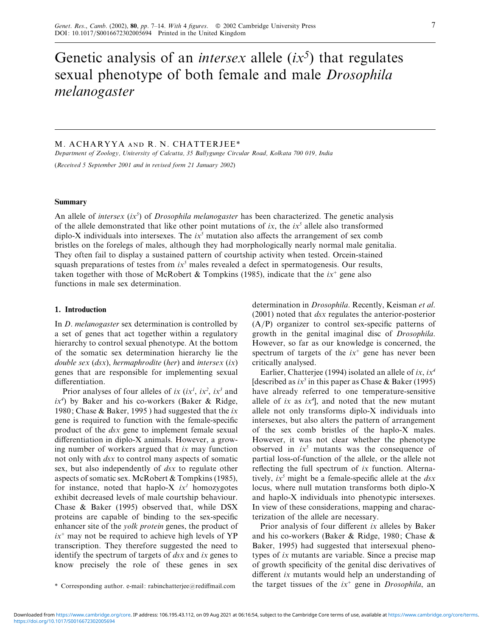# Genetic analysis of an *intersex* allele (*ix<sup>5</sup>* ) that regulates sexual phenotype of both female and male *Drosophila melanogaster*

# M. ACHARYYA AND R. N. CHATTERJEE\*

*Department of Zoology, Uniersity of Calcutta, 35 Ballygunge Circular Road, Kolkata 700 019, India*

(*Receied 5 September 2001 and in reised form 21 January 2002*)

#### **Summary**

An allele of *intersex* (*ix<sup>5</sup>* ) of *Drosophila melanogaster* has been characterized. The genetic analysis of the allele demonstrated that like other point mutations of *ix*, the  $ix<sup>5</sup>$  allele also transformed diplo-X individuals into intersexes. The  $ix^5$  mutation also affects the arrangement of sex comb bristles on the forelegs of males, although they had morphologically nearly normal male genitalia. They often fail to display a sustained pattern of courtship activity when tested. Orcein-stained squash preparations of testes from  $ix<sup>5</sup>$  males revealed a defect in spermatogenesis. Our results, taken together with those of McRobert & Tompkins (1985), indicate that the  $ix^+$  gene also functions in male sex determination.

## **1. Introduction**

In *D*. *melanogaster* sex determination is controlled by a set of genes that act together within a regulatory hierarchy to control sexual phenotype. At the bottom of the somatic sex determination hierarchy lie the *double sex* (*dsx*), *hermaphrodite* (*her*) and *intersex* (*ix*) genes that are responsible for implementing sexual differentiation.

Prior analyses of four alleles of *ix* (*ix<sup>1</sup>*, *ix*<sup>2</sup>, *ix*<sup>3</sup> and *ix<sup>4</sup>* ) by Baker and his co-workers (Baker & Ridge, 1980; Chase & Baker, 1995 ) had suggested that the *ix* gene is required to function with the female-specific product of the *dsx* gene to implement female sexual differentiation in diplo-X animals. However, a growing number of workers argued that *ix* may function not only with *dsx* to control many aspects of somatic sex, but also independently of *dsx* to regulate other aspects of somatic sex. McRobert & Tompkins (1985), for instance, noted that haplo-X  $ix^1$  homozygotes exhibit decreased levels of male courtship behaviour. Chase & Baker (1995) observed that, while DSX proteins are capable of binding to the sex-specific enhancer site of the *yolk protein* genes, the product of  $ix^+$  may not be required to achieve high levels of YP transcription. They therefore suggested the need to identify the spectrum of targets of *dsx* and *ix* genes to know precisely the role of these genes in sex

determination in *Drosophila*. Recently, Keisman *et al*. (2001) noted that *dsx* regulates the anterior-posterior  $(A/P)$  organizer to control sex-specific patterns of growth in the genital imaginal disc of *Drosophila*. However, so far as our knowledge is concerned, the spectrum of targets of the  $ix^+$  gene has never been critically analysed.

Earlier, Chatterjee (1994) isolated an allele of *ix*, *ix<sup>4</sup>* [described as *ix<sup>5</sup>* in this paper as Chase & Baker (1995) have already referred to one temperature-sensitive allele of *ix* as *ix<sup>4</sup>* ], and noted that the new mutant allele not only transforms diplo-X individuals into intersexes, but also alters the pattern of arrangement of the sex comb bristles of the haplo-X males. However, it was not clear whether the phenotype observed in *ix<sup>5</sup>* mutants was the consequence of partial loss-of-function of the allele, or the allele not reflecting the full spectrum of *ix* function. Alternatively, *ix<sup>5</sup>* might be a female-specific allele at the *dsx* locus, where null mutation transforms both diplo-X and haplo-X individuals into phenotypic intersexes. In view of these considerations, mapping and characterization of the allele are necessary.

Prior analysis of four different *ix* alleles by Baker and his co-workers (Baker & Ridge, 1980; Chase & Baker, 1995) had suggested that intersexual phenotypes of *ix* mutants are variable. Since a precise map of growth specificity of the genital disc derivatives of different *ix* mutants would help an understanding of the target tissues of the *ix*<sup>+</sup> gene in *Drosophila*, an

<sup>\*</sup> Corresponding author. e-mail: rabinchatterjee@rediffmail.com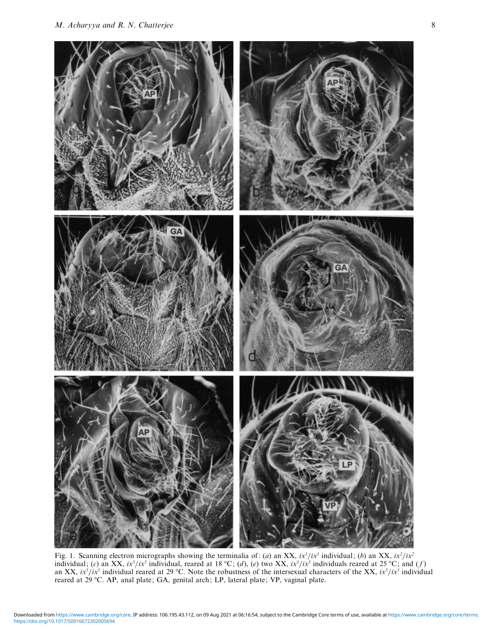

Fig. 1. Scanning electron micrographs showing the terminalia of: (*a*) an XX,  $ix^{1}/ix^{1}$  individual; (*b*) an XX,  $ix^{2}/ix^{2}$ individual; (*c*) an XX, *ix<sup>5</sup>/ix<sup>5</sup>* individual, reared at 18 °C; (*d*), (*e*) two XX, *ix<sup>5</sup>/ix<sup>5</sup>* individuals reared at 25 °C; and (*f*) an XX,  $ix^5/ix^5$  individual reared at 29 °C. Note the robustness of the intersexual characters of the XX,  $ix^5/ix^5$  individual reared at 29 °C. AP, anal plate; GA, genital arch; LP, lateral plate; VP, vaginal plate.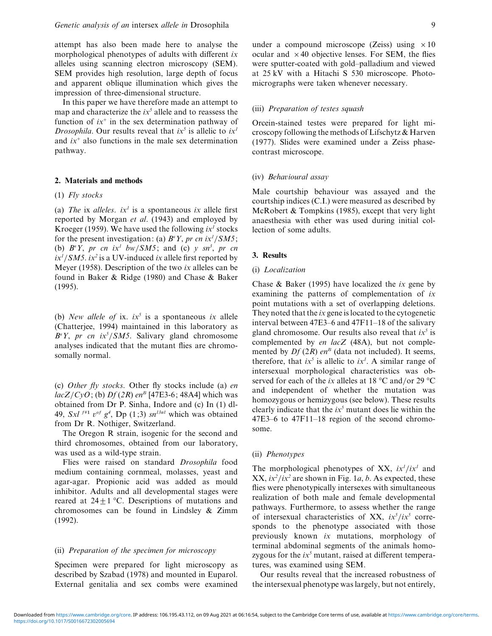attempt has also been made here to analyse the morphological phenotypes of adults with different *ix* alleles using scanning electron microscopy (SEM). SEM provides high resolution, large depth of focus and apparent oblique illumination which gives the impression of three-dimensional structure.

In this paper we have therefore made an attempt to map and characterize the  $ix<sup>5</sup>$  allele and to reassess the function of  $ix^+$  in the sex determination pathway of *Drosophila*. Our results reveal that  $ix^5$  is allelic to  $ix^1$ and  $ix<sup>+</sup>$  also functions in the male sex determination pathway.

# **2. Materials and methods**

# (1) *Fly stocks*

(a) *The* ix *alleles*.  $ix^1$  is a spontaneous *ix* allele first reported by Morgan *et al*. (1943) and employed by Kroeger (1959). We have used the following  $ix^1$  stocks for the present investigation: (a)  $B^sY$ , pr cn ix<sup>1</sup>/SM5; (b)  $B^sY$ , *pr cn ix<sup>1</sup> bw/SM5*; and (c) *y sn<sup>3</sup>*, *pr cn ix<sup>1</sup>*}*SM5*. *ix<sup>2</sup>* is a UV-induced *ix* allele first reported by Meyer (1958). Description of the two *ix* alleles can be found in Baker & Ridge (1980) and Chase & Baker (1995).

(b) *New allele of* ix.  $ix^5$  is a spontaneous *ix* allele (Chatterjee, 1994) maintained in this laboratory as  $B^sY$ , *pr cn ix*<sup>5</sup>/*SM5*. Salivary gland chromosome analyses indicated that the mutant flies are chromosomally normal.

(c) *Other fly stocks*. Other fly stocks include (a) *en lacZ*}*CyO*; (b) *Df* (*2R*) *en<sup>B</sup>* [47E3-6; 48A4] which was obtained from Dr P. Sinha, Indore and (c) In (1) dl-49,  $Sxt^{f+1}$   $v^{of}$   $g^4$ ,  $Dp(1;3)$   $sn^{13al}$  which was obtained from Dr R. Nothiger, Switzerland.

The Oregon R strain, isogenic for the second and third chromosomes, obtained from our laboratory, was used as a wild-type strain.

Flies were raised on standard *Drosophila* food medium containing cornmeal, molasses, yeast and agar-agar. Propionic acid was added as mould inhibitor. Adults and all developmental stages were reared at  $24 \pm 1$  °C. Descriptions of mutations and chromosomes can be found in Lindsley & Zimm (1992).

### (ii) *Preparation of the specimen for microscopy*

Specimen were prepared for light microscopy as described by Szabad (1978) and mounted in Euparol. External genitalia and sex combs were examined

under a compound microscope (Zeiss) using  $\times 10$ ocular and  $\times$  40 objective lenses. For SEM, the flies were sputter-coated with gold–palladium and viewed at 25 kV with a Hitachi S 530 microscope. Photomicrographs were taken whenever necessary.

## (iii) *Preparation of testes squash*

Orcein-stained testes were prepared for light microscopy following the methods of Lifschytz & Harven (1977). Slides were examined under a Zeiss phasecontrast microscope.

#### (iv) *Behaioural assay*

Male courtship behaviour was assayed and the courtship indices (C.I.) were measured as described by McRobert & Tompkins (1985), except that very light anaesthesia with ether was used during initial collection of some adults.

#### **3. Results**

## (i) *Localization*

Chase & Baker (1995) have localized the *ix* gene by examining the patterns of complementation of *ix* point mutations with a set of overlapping deletions. They noted that the *ix* gene is located to the cytogenetic interval between 47E3–6 and 47F11–18 of the salivary gland chromosome. Our results also reveal that *ix<sup>5</sup>* is complemented by *en lacZ* (48A), but not complemented by  $Df(2R)$  *en*<sup>*B*</sup> (data not included). It seems, therefore, that  $ix^5$  is allelic to  $ix^1$ . A similar range of intersexual morphological characteristics was observed for each of the *ix* alleles at 18  $\degree$ C and/or 29  $\degree$ C and independent of whether the mutation was homozygous or hemizygous (see below). These results clearly indicate that the *ix<sup>5</sup>* mutant does lie within the 47E3–6 to 47F11–18 region of the second chromosome.

# (ii) *Phenotypes*

The morphological phenotypes of XX,  $ix^{1}/ix^{1}$  and  $XX$ ,  $ix^2/ix^2$  are shown in Fig. 1*a*, *b*. As expected, these flies were phenotypically intersexes with simultaneous realization of both male and female developmental pathways. Furthermore, to assess whether the range of intersexual characteristics of XX,  $ix^5/ix^5$  corresponds to the phenotype associated with those previously known *ix* mutations, morphology of terminal abdominal segments of the animals homozygous for the  $ix^5$  mutant, raised at different temperatures, was examined using SEM.

Our results reveal that the increased robustness of the intersexual phenotype was largely, but not entirely,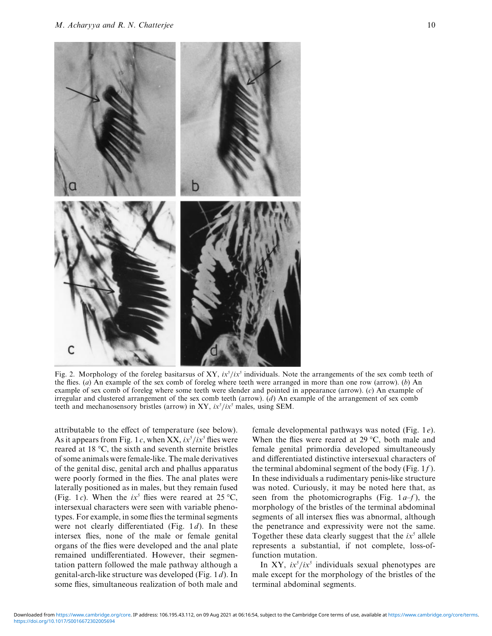

Fig. 2. Morphology of the foreleg basitarsus of XY,  $ix^5/ix^5$  individuals. Note the arrangements of the sex comb teeth of the flies. (*a*) An example of the sex comb of foreleg where teeth were arranged in more than one row (arrow). (*b*) An example of sex comb of foreleg where some teeth were slender and pointed in appearance (arrow). (*c*) An example of irregular and clustered arrangement of the sex comb teeth (arrow). (*d*) An example of the arrangement of sex comb teeth and mechanosensory bristles (arrow) in XY,  $ix<sup>5</sup>/ix<sup>5</sup>$  males, using SEM.

attributable to the effect of temperature (see below). As it appears from Fig. 1*c*, when XX,  $ix^5/ix^5$  flies were reared at 18 °C, the sixth and seventh sternite bristles of some animals were female-like. The male derivatives of the genital disc, genital arch and phallus apparatus were poorly formed in the flies. The anal plates were laterally positioned as in males, but they remain fused (Fig. 1*c*). When the  $ix^5$  flies were reared at 25 °C, intersexual characters were seen with variable phenotypes. For example, in some flies the terminal segments were not clearly differentiated (Fig. 1*d*). In these intersex flies, none of the male or female genital organs of the flies were developed and the anal plate remained undifferentiated. However, their segmentation pattern followed the male pathway although a genital-arch-like structure was developed (Fig. 1*d*). In some flies, simultaneous realization of both male and female developmental pathways was noted (Fig. 1*e*). When the flies were reared at 29 °C, both male and female genital primordia developed simultaneously and differentiated distinctive intersexual characters of the terminal abdominal segment of the body (Fig. 1*f* ). In these individuals a rudimentary penis-like structure was noted. Curiously, it may be noted here that, as seen from the photomicrographs (Fig. 1*a*–*f* ), the morphology of the bristles of the terminal abdominal segments of all intersex flies was abnormal, although the penetrance and expressivity were not the same. Together these data clearly suggest that the  $ix^5$  allele represents a substantial, if not complete, loss-offunction mutation.

In XY,  $ix^5/ix^5$  individuals sexual phenotypes are male except for the morphology of the bristles of the terminal abdominal segments.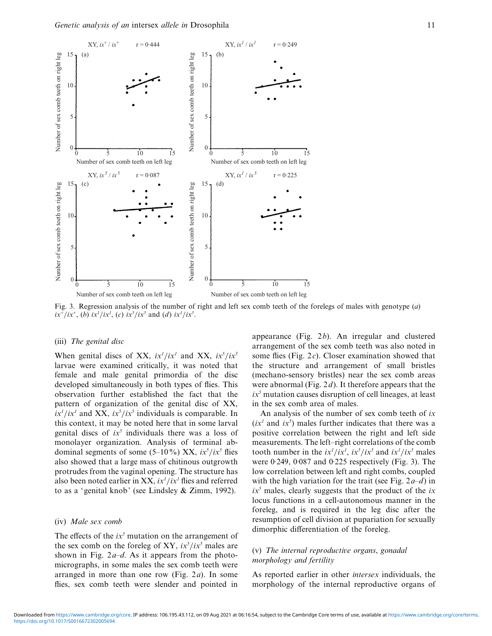

Fig. 3. Regression analysis of the number of right and left sex comb teeth of the forelegs of males with genotype (*a*)  $i\frac{x^3}{ix^4}$ ,  $j\frac{y^4}{ix^5}$ ,  $k\frac{z^5}{ix^5}$ ,  $k\frac{z^5}{ix^5}$  and  $k\frac{z^7}{ix^5}$ .

#### (iii) *The genital disc*

When genital discs of XX,  $ix^{1}/ix^{1}$  and XX,  $ix^{5}/ix^{5}$ larvae were examined critically, it was noted that female and male genital primordia of the disc developed simultaneously in both types of flies. This observation further established the fact that the pattern of organization of the genital disc of XX,  $i x<sup>1</sup>/i x<sup>1</sup>$  and XX,  $i x<sup>5</sup>/i x<sup>5</sup>$  individuals is comparable. In this context, it may be noted here that in some larval genital discs of  $ix^5$  individuals there was a loss of monolayer organization. Analysis of terminal abdominal segments of some (5–10%) XX,  $ix^5/ix^5$  flies also showed that a large mass of chitinous outgrowth protrudes from the vaginal opening. The structure has also been noted earlier in XX,  $ix<sup>1</sup>/ix<sup>1</sup>$  flies and referred to as a 'genital knob' (see Lindsley & Zimm, 1992).

#### (iv) *Male sex comb*

The effects of the  $ix^5$  mutation on the arrangement of the sex comb on the foreleg of XY,  $ix^5/ix^5$  males are shown in Fig. 2*a*–*d*. As it appears from the photomicrographs, in some males the sex comb teeth were arranged in more than one row (Fig. 2*a*). In some flies, sex comb teeth were slender and pointed in

appearance (Fig. 2*b*). An irregular and clustered arrangement of the sex comb teeth was also noted in some flies (Fig. 2*c*). Closer examination showed that the structure and arrangement of small bristles (mechano-sensory bristles) near the sex comb areas were abnormal (Fig. 2*d*). It therefore appears that the  $ix<sup>5</sup>$  mutation causes disruption of cell lineages, at least in the sex comb area of males.

An analysis of the number of sex comb teeth of *ix*  $(ix<sup>1</sup>$  and  $ix<sup>5</sup>$ ) males further indicates that there was a positive correlation between the right and left side measurements. The left–right correlations of the comb tooth number in the  $ix^{1}/ix^{1}$ ,  $ix^{5}/ix^{5}$  and  $ix^{1}/ix^{5}$  males were  $0.249$ ,  $0.087$  and  $0.225$  respectively (Fig. 3). The low correlation between left and right combs, coupled with the high variation for the trait (see Fig. 2*a*–*d*) in  $ix<sup>5</sup>$  males, clearly suggests that the product of the  $ix$ locus functions in a cell-autonomous manner in the foreleg, and is required in the leg disc after the resumption of cell division at pupariation for sexually dimorphic differentiation of the foreleg.

# (v) *The internal reproductie organs*, *gonadal morphology and fertility*

As reported earlier in other *intersex* individuals, the morphology of the internal reproductive organs of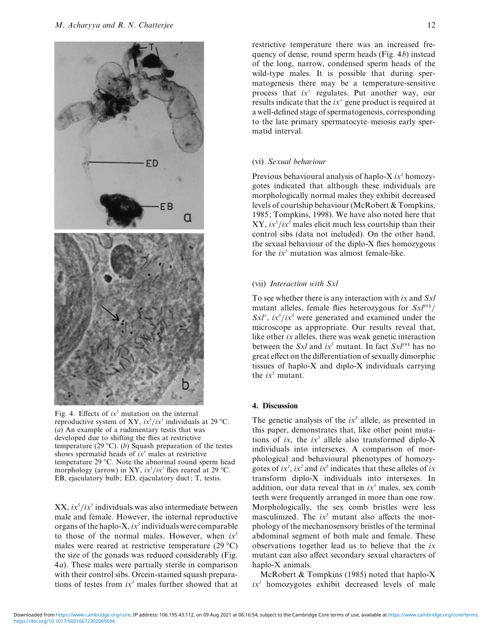

Fig. 4. Effects of  $ix^5$  mutation on the internal reproductive system of XY,  $ix^5/ix^5$  individuals at 29 °C. (*a*) An example of a rudimentary testis that was developed due to shifting the flies at restrictive temperature (29 °C). (*b*) Squash preparation of the testes shows spermatid heads of  $ix^5$  males at restrictive temperature 29 °C. Note the abnormal round sperm head morphology (arrow) in XY,  $i\dot{x}^5/i\dot{x}^5$  flies reared at 29 °C. EB, ejaculatory bulb; ED, ejaculatory duct; T, testis.

 $XX, i x<sup>5</sup>/i x<sup>5</sup>$  individuals was also intermediate between male and female. However, the internal reproductive organs of the haplo-X, *ix<sup>5</sup>* individuals were comparable to those of the normal males. However, when *ix<sup>5</sup>* males were reared at restrictive temperature (29 °C) the size of the gonads was reduced considerably (Fig. 4*a*). These males were partially sterile in comparison with their control sibs. Orcein-stained squash preparations of testes from  $ix^5$  males further showed that at restrictive temperature there was an increased frequency of dense, round sperm heads (Fig. 4*b*) instead of the long, narrow, condensed sperm heads of the wild-type males. It is possible that during spermatogenesis there may be a temperature-sensitive process that *ix*<sup>+</sup> regulates. Put another way, our results indicate that the *ix*<sup>+</sup> gene product is required at a well-defined stage of spermatogenesis, corresponding to the late primary spermatocyte–meiosis early spermatid interval.

## (vi) *Sexual behaiour*

Previous behavioural analysis of haplo-X *ix<sup>1</sup>* homozygotes indicated that although these individuals are morphologically normal males they exhibit decreased levels of courtship behaviour (McRobert & Tompkins, 1985; Tompkins, 1998). We have also noted here that  $XY, ix^5/ix^5$  males elicit much less courtship than their control sibs (data not included). On the other hand, the sexual behaviour of the diplo-X flies homozygous for the  $ix^5$  mutation was almost female-like.

## (vii) *Interaction with Sxl*

To see whether there is any interaction with *ix* and *Sxl* mutant alleles, female flies heterozygous for  $S x l^{f+1}/R$  $SxI^+$ ,  $ix^5/ix^5$  were generated and examined under the microscope as appropriate. Our results reveal that, like other *ix* alleles, there was weak genetic interaction between the *Sxl* and  $ix^5$  mutant. In fact  $Sx l^{f+1}$  has no great effect on the differentiation of sexually dimorphic tissues of haplo-X and diplo-X individuals carrying the  $ix^5$  mutant.

## **4. Discussion**

The genetic analysis of the  $ix<sup>5</sup>$  allele, as presented in this paper, demonstrates that, like other point mutations of *ix*, the  $ix^5$  allele also transformed diplo-X individuals into intersexes. A comparison of morphological and behavioural phenotypes of homozygotes of  $ix^1$ ,  $ix^2$  and  $ix^5$  indicates that these alleles of  $ix$ transform diplo-X individuals into intersexes. In addition, our data reveal that in  $ix^5$  males, sex comb teeth were frequently arranged in more than one row. Morphologically, the sex comb bristles were less masculinized. The  $ix^5$  mutant also affects the morphology of the mechanosensory bristles of the terminal abdominal segment of both male and female. These observations together lead us to believe that the *ix* mutant can also affect secondary sexual characters of haplo-X animals.

McRobert & Tompkins (1985) noted that haplo-X  $ix<sup>1</sup>$  homozygotes exhibit decreased levels of male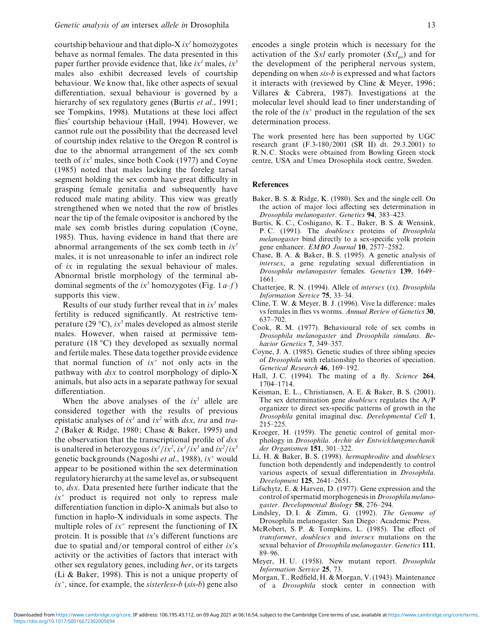courtship behaviour and that diplo-X *ix<sup>1</sup>* homozygotes behave as normal females. The data presented in this paper further provide evidence that, like  $ix<sup>1</sup>$  males,  $ix<sup>5</sup>$ males also exhibit decreased levels of courtship behaviour. We know that, like other aspects of sexual differentiation, sexual behaviour is governed by a hierarchy of sex regulatory genes (Burtis *et al*., 1991; see Tompkins, 1998). Mutations at these loci affect flies' courtship behaviour (Hall, 1994). However, we cannot rule out the possibility that the decreased level of courtship index relative to the Oregon R control is due to the abnormal arrangement of the sex comb teeth of  $ix^5$  males, since both Cook (1977) and Coyne (1985) noted that males lacking the foreleg tarsal segment holding the sex comb have great difficulty in grasping female genitalia and subsequently have reduced male mating ability. This view was greatly strengthened when we noted that the row of bristles near the tip of the female ovipositor is anchored by the male sex comb bristles during copulation (Coyne, 1985). Thus, having evidence in hand that there are abnormal arrangements of the sex comb teeth in *ix<sup>5</sup>* males, it is not unreasonable to infer an indirect role of *ix* in regulating the sexual behaviour of males. Abnormal bristle morphology of the terminal abdominal segments of the  $ix^5$  homozygotes (Fig. 1*a–f*) supports this view.

Results of our study further reveal that in  $ix^5$  males fertility is reduced significantly. At restrictive temperature (29  $\textdegree$ C), *ix*<sup>5</sup> males developed as almost sterile males. However, when raised at permissive temperature (18 °C) they developed as sexually normal and fertile males. These data together provide evidence that normal function of  $ix^+$  not only acts in the pathway with *dsx* to control morphology of diplo-X animals, but also acts in a separate pathway for sexual differentiation.

When the above analyses of the  $ix^5$  allele are considered together with the results of previous epistatic analyses of *ix<sup>1</sup>* and *ix<sup>2</sup>* with *dsx*, *tra* and *tra*-*2* (Baker & Ridge, 1980; Chase & Baker, 1995) and the observation that the transcriptional profile of *dsx* is unaltered in heterozygous  $ix^{1}/ix^{2}$ ,  $ix^{1}/ix^{3}$  and  $ix^{2}/ix^{3}$ genetic backgrounds (Nagoshi *et al*., 1988), *ix*<sup>+</sup> would appear to be positioned within the sex determination regulatoryhierarchyat the samelevel as,orsubsequent to, *dsx*. Data presented here further indicate that the  $ix^+$  product is required not only to repress male differentiation function in diplo-X animals but also to function in haplo-X individuals in some aspects. The multiple roles of  $ix^+$  represent the functioning of IX protein. It is possible that *ix*'s different functions are due to spatial and/or temporal control of either *ix*'s activity or the activities of factors that interact with other sex regulatory genes, including *her*, or its targets (Li & Baker, 1998). This is not a unique property of *ix*+, since, for example, the *sisterless*-*b* (*sis*-*b*) gene also

activation of the *Sxl* early promoter (*Sxlpe*) and for the development of the peripheral nervous system, depending on when *sis*-*b* is expressed and what factors it interacts with (reviewed by Cline & Meyer, 1996; Villares & Cabrera, 1987). Investigations at the molecular level should lead to finer understanding of the role of the  $ix^+$  product in the regulation of the sex determination process.

The work presented here has been supported by UGC research grant (F.3-180}2001 (SR II) dt. 29.3.2001) to R.N.C. Stocks were obtained from Bowling Green stock centre, USA and Umea Drosophila stock centre, Sweden.

## **References**

- Baker, B. S. & Ridge, K. (1980). Sex and the single cell. On the action of major loci affecting sex determination in *Drosophila melanogaster*. *Genetics* **94**, 383–423.
- Burtis, K. C., Coshigano, K. T., Baker, B. S. & Wensink, P. C. (1991). The *doublesex* proteins of *Drosophila melanogaster* bind directly to a sex-specific yolk protein gene enhancer. *EMBO Journal* **10**, 2577–2582.
- Chase, B. A. & Baker, B. S. (1995). A genetic analysis of *intersex*, a gene regulating sexual differentiation in *Drosophila melanogaster* females. *Genetics* **139**, 1649– 1661.
- Chatterjee, R. N. (1994). Allele of *intersex* (*ix*). *Drosophila Information Serice* **75**, 33–34.
- Cline, T. W. & Meyer, B. J. (1996). Vive la difference: males vs females in flies vs worms. *Annual Reiew of Genetics* **30**, 637–702.
- Cook, R. M. (1977). Behavioural role of sex combs in *Drosophila melanogaster* and *Drosophila simulans*. *Behaior Genetics* **7**, 349–357.
- Coyne, J. A. (1985). Genetic studies of three sibling species of *Drosophila* with relationship to theories of speciation. *Genetical Research* **46**, 169–192.
- Hall, J. C. (1994). The mating of a fly. *Science* **264**, 1704–1714.
- Keisman, E. L., Christiansen, A. E. & Baker, B. S. (2001). The sex determination gene *doublesex* regulates the  $A/P$ organizer to direct sex-specific patterns of growth in the *Drosophila* genital imaginal disc. *Deelopmental Cell* **1**, 215–225.
- Kroeger, H. (1959). The genetic control of genital morphology in *Drosophila*. *Archi der Entwicklungsmechanik der Organismen* **151**, 301–322.
- Li, H. & Baker, B. S. (1998). *hermaphrodite* and *doublesex* function both dependently and independently to control various aspects of sexual differentiation in *Drosophila*. *Deelopment* **125**, 2641–2651.
- Lifschytz, E. & Harven, D. (1977). Gene expression and the control of spermatid morphogenesis in *Drosophila melanogaster*. *Deelopmental Biology* **58**, 276–294.
- Lindsley, D. I. & Zimm, G. (1992). *The Genome of* Drosophila melanogaster. San Diego: Academic Press.
- McRobert, S. P. & Tompkins, L. (1985). The effect of *transformer*, *doublesex* and *intersex* mutations on the sexual behavior of *Drosophila melanogaster*. *Genetics* **111**, 89–96.
- Meyer, H. U. (1958). New mutant report. *Drosophila Information Serice* **25**, 73.
- Morgan, T., Redfield, H. & Morgan, V. (1943). Maintenance of a *Drosophila* stock center in connection with